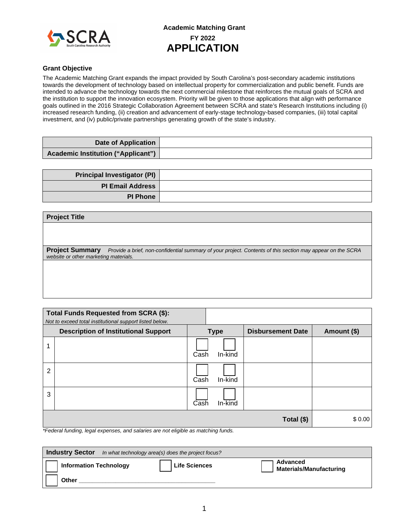

#### **Grant Objective**

The Academic Matching Grant expands the impact provided by South Carolina's post-secondary academic institutions towards the development of technology based on intellectual property for commercialization and public benefit. Funds are intended to advance the technology towards the next commercial milestone that reinforces the mutual goals of SCRA and the institution to support the innovation ecosystem. Priority will be given to those applications that align with performance goals outlined in the 2016 Strategic Collaboration Agreement between SCRA and state's Research Institutions including (i) increased research funding, (ii) creation and advancement of early-stage technology-based companies, (iii) total capital investment, and (iv) public/private partnerships generating growth of the state's industry.

| <b>Date of Application</b>                |  |
|-------------------------------------------|--|
| <b>Academic Institution ("Applicant")</b> |  |

| <b>Principal Investigator (PI)</b> |  |
|------------------------------------|--|
| <b>PI Email Address</b>            |  |
| <b>PI Phone</b>                    |  |

### **Project Title**

**Project Summary** *Provide a brief, non-confidential summary of your project. Contents of this section may appear on the SCRA website or other marketing materials.*

|                | Total Funds Requested from SCRA (\$):<br>Not to exceed total institutional support listed below. |      |             |                          |             |
|----------------|--------------------------------------------------------------------------------------------------|------|-------------|--------------------------|-------------|
|                | <b>Description of Institutional Support</b>                                                      |      | <b>Type</b> | <b>Disbursement Date</b> | Amount (\$) |
|                |                                                                                                  | Cash | In-kind     |                          |             |
| $\overline{2}$ |                                                                                                  | Cash | In-kind     |                          |             |
| 3              |                                                                                                  | Cash | $In$ -kind  |                          |             |
|                | $\sim$<br>.<br>.<br>.                                                                            |      | .           | Total (\$)               | \$0.00      |

*\*Federal funding, legal expenses, and salaries are not eligible as matching funds.*

| <b>Industry Sector</b>        | In what technology area(s) does the project focus? |                      |                                            |  |  |  |
|-------------------------------|----------------------------------------------------|----------------------|--------------------------------------------|--|--|--|
| <b>Information Technology</b> |                                                    | <b>Life Sciences</b> | Advanced<br><b>Materials/Manufacturing</b> |  |  |  |
| Other                         |                                                    |                      |                                            |  |  |  |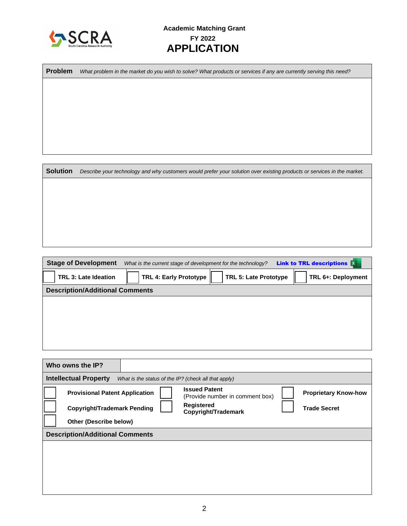

**Problem** *What problem in the market do you wish to solve? What products or services if any are currently serving this need?*

**Solution** *Describe your technology and why customers would prefer your solution over existing products or services in the market.*

| <b>Stage of Development</b>            | What is the current stage of development for the technology? |                              | <b>Link to TRL descriptions X</b> |
|----------------------------------------|--------------------------------------------------------------|------------------------------|-----------------------------------|
| TRL 3: Late Ideation                   | <b>TRL 4: Early Prototype</b>                                | <b>TRL 5: Late Prototype</b> | TRL 6+: Deployment                |
| <b>Description/Additional Comments</b> |                                                              |                              |                                   |
|                                        |                                                              |                              |                                   |
|                                        |                                                              |                              |                                   |
|                                        |                                                              |                              |                                   |
|                                        |                                                              |                              |                                   |
|                                        |                                                              |                              |                                   |

| Who owns the IP?                       |  |                                                         |                             |
|----------------------------------------|--|---------------------------------------------------------|-----------------------------|
| <b>Intellectual Property</b>           |  | What is the status of the IP? (check all that apply)    |                             |
| <b>Provisional Patent Application</b>  |  | <b>Issued Patent</b><br>(Provide number in comment box) | <b>Proprietary Know-how</b> |
| <b>Copyright/Trademark Pending</b>     |  | <b>Registered</b><br>Copyright/Trademark                | <b>Trade Secret</b>         |
| Other (Describe below)                 |  |                                                         |                             |
| <b>Description/Additional Comments</b> |  |                                                         |                             |
|                                        |  |                                                         |                             |
|                                        |  |                                                         |                             |
|                                        |  |                                                         |                             |
|                                        |  |                                                         |                             |
|                                        |  |                                                         |                             |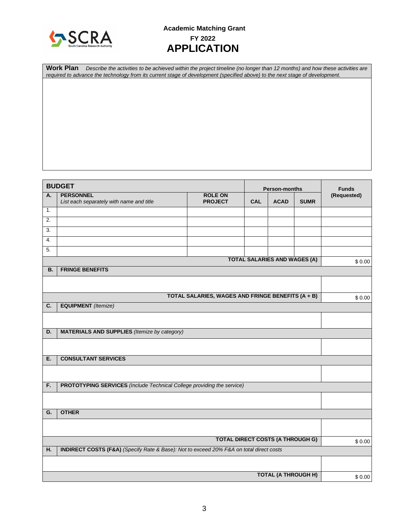

# **Academic Matching Grant FY 2022 APPLICATION**

**Work Plan** *Describe the activities to be achieved within the project timeline (no longer than 12 months) and how these activities are required to advance the technology from its current stage of development (specified above) to the next stage of development.*

|                                                           | <b>BUDGET</b>                                                                           |                                                   |            | <b>Person-months</b>                |             | <b>Funds</b> |
|-----------------------------------------------------------|-----------------------------------------------------------------------------------------|---------------------------------------------------|------------|-------------------------------------|-------------|--------------|
| А.                                                        | <b>PERSONNEL</b><br>List each separately with name and title                            | <b>ROLE ON</b><br><b>PROJECT</b>                  | <b>CAL</b> | <b>ACAD</b>                         | <b>SUMR</b> | (Requested)  |
| 1.                                                        |                                                                                         |                                                   |            |                                     |             |              |
| 2.                                                        |                                                                                         |                                                   |            |                                     |             |              |
| 3.                                                        |                                                                                         |                                                   |            |                                     |             |              |
| 4.                                                        |                                                                                         |                                                   |            |                                     |             |              |
| 5.                                                        |                                                                                         |                                                   |            |                                     |             |              |
|                                                           |                                                                                         |                                                   |            | <b>TOTAL SALARIES AND WAGES (A)</b> |             | \$0.00       |
| В.                                                        | <b>FRINGE BENEFITS</b>                                                                  |                                                   |            |                                     |             |              |
|                                                           |                                                                                         |                                                   |            |                                     |             |              |
|                                                           |                                                                                         | TOTAL SALARIES, WAGES AND FRINGE BENEFITS (A + B) |            |                                     |             | \$0.00       |
| C.                                                        | <b>EQUIPMENT</b> (Itemize)                                                              |                                                   |            |                                     |             |              |
|                                                           |                                                                                         |                                                   |            |                                     |             |              |
| <b>MATERIALS AND SUPPLIES</b> (Itemize by category)<br>D. |                                                                                         |                                                   |            |                                     |             |              |
|                                                           |                                                                                         |                                                   |            |                                     |             |              |
| Ε.                                                        | <b>CONSULTANT SERVICES</b>                                                              |                                                   |            |                                     |             |              |
|                                                           |                                                                                         |                                                   |            |                                     |             |              |
| F.                                                        | <b>PROTOTYPING SERVICES</b> (Include Technical College providing the service)           |                                                   |            |                                     |             |              |
|                                                           |                                                                                         |                                                   |            |                                     |             |              |
| G.                                                        | <b>OTHER</b>                                                                            |                                                   |            |                                     |             |              |
|                                                           |                                                                                         |                                                   |            |                                     |             |              |
|                                                           |                                                                                         | <b>TOTAL DIRECT COSTS (A THROUGH G)</b>           |            |                                     |             | \$0.00       |
| Η.                                                        | INDIRECT COSTS (F&A) (Specify Rate & Base): Not to exceed 20% F&A on total direct costs |                                                   |            |                                     |             |              |
|                                                           |                                                                                         |                                                   |            |                                     |             |              |
|                                                           |                                                                                         |                                                   |            | <b>TOTAL (A THROUGH H)</b>          |             | \$0.00       |